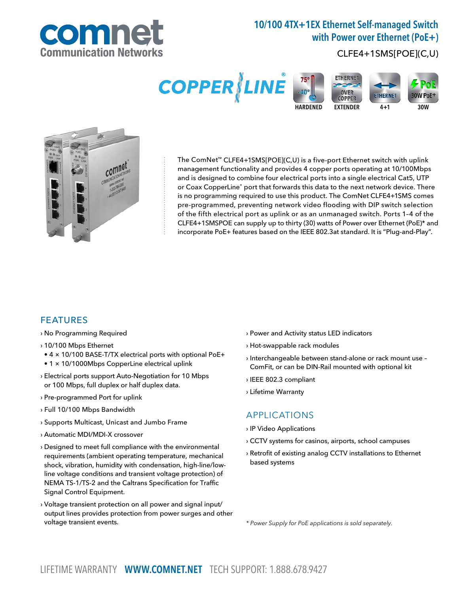

# 10/100 4TX+1EX Ethernet Self-managed Switch with Power over Ethernet (PoE+)

## CLFE4+1SMS[POE](C,U)





The ComNet™ CLFE4+1SMS[POE](C,U) is a five-port Ethernet switch with uplink management functionality and provides 4 copper ports operating at 10/100Mbps and is designed to combine four electrical ports into a single electrical Cat5, UTP or Coax CopperLine® port that forwards this data to the next network device. There is no programming required to use this product. The ComNet CLFE4+1SMS comes pre-programmed, preventing network video flooding with DIP switch selection of the fifth electrical port as uplink or as an unmanaged switch. Ports 1–4 of the CLFE4+1SMSPOE can supply up to thirty (30) watts of Power over Ethernet (PoE)\* and incorporate PoE+ features based on the IEEE 802.3at standard. It is "Plug-and-Play".

### FEATURES

› No Programming Required

- › 10/100 Mbps Ethernet
- 4 × 10/100 BASE-T/TX electrical ports with optional PoE+
- 1 × 10/1000Mbps CopperLine electrical uplink
- › Electrical ports support Auto-Negotiation for 10 Mbps or 100 Mbps, full duplex or half duplex data.
- › Pre-programmed Port for uplink
- › Full 10/100 Mbps Bandwidth
- › Supports Multicast, Unicast and Jumbo Frame
- › Automatic MDI/MDI-X crossover
- › Designed to meet full compliance with the environmental requirements (ambient operating temperature, mechanical shock, vibration, humidity with condensation, high-line/lowline voltage conditions and transient voltage protection) of NEMA TS-1/TS-2 and the Caltrans Specification for Traffic Signal Control Equipment.
- › Voltage transient protection on all power and signal input/ output lines provides protection from power surges and other voltage transient events.
- › Power and Activity status LED indicators
- › Hot-swappable rack modules
- › Interchangeable between stand-alone or rack mount use ComFit, or can be DIN-Rail mounted with optional kit
- › IEEE 802.3 compliant
- › Lifetime Warranty

#### APPLICATIONS

- › IP Video Applications
- › CCTV systems for casinos, airports, school campuses
- › Retrofit of existing analog CCTV installations to Ethernet based systems

\* Power Supply for PoE applications is sold separately.